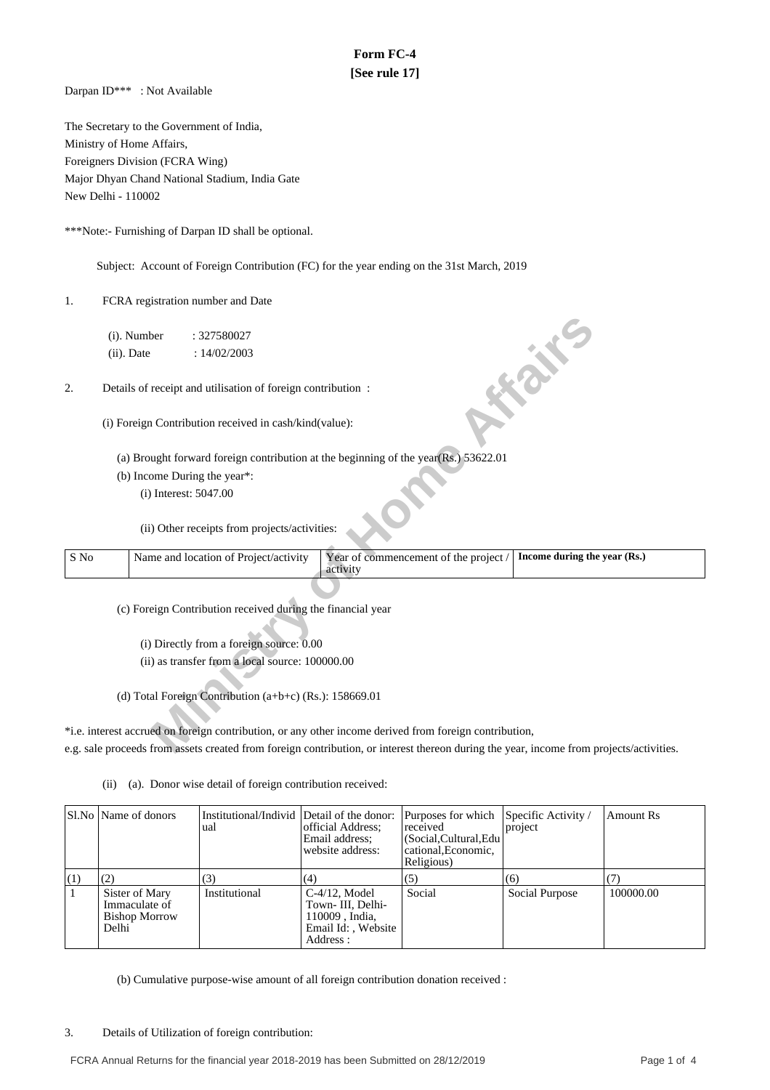## **Form FC-4 [See rule 17]**

Darpan ID\*\*\* : Not Available

The Secretary to the Government of India, Ministry of Home Affairs, Foreigners Division (FCRA Wing) Major Dhyan Chand National Stadium, India Gate New Delhi - 110002

\*\*\*Note:- Furnishing of Darpan ID shall be optional.

Subject: Account of Foreign Contribution (FC) for the year ending on the 31st March, 2019

1. FCRA registration number and Date

- (a) Brought forward foreign contribution at the beginning of the year(Rs.) 53622.01
- (b) Income During the year\*:

|      | (i). Number                                                                |                       | : 327580027                                                 |                                                                                                                                         |                              |  |  |  |
|------|----------------------------------------------------------------------------|-----------------------|-------------------------------------------------------------|-----------------------------------------------------------------------------------------------------------------------------------------|------------------------------|--|--|--|
|      | $(ii)$ . Date                                                              |                       | : 14/02/2003                                                |                                                                                                                                         |                              |  |  |  |
|      |                                                                            |                       |                                                             |                                                                                                                                         |                              |  |  |  |
| 2.   | <b>FORE</b><br>Details of receipt and utilisation of foreign contribution: |                       |                                                             |                                                                                                                                         |                              |  |  |  |
|      |                                                                            |                       |                                                             |                                                                                                                                         |                              |  |  |  |
|      |                                                                            |                       | (i) Foreign Contribution received in cash/kind(value):      |                                                                                                                                         |                              |  |  |  |
|      |                                                                            |                       |                                                             |                                                                                                                                         |                              |  |  |  |
|      |                                                                            |                       |                                                             | (a) Brought forward foreign contribution at the beginning of the year(Rs.) 53622.01                                                     |                              |  |  |  |
|      |                                                                            |                       | (b) Income During the year*:                                |                                                                                                                                         |                              |  |  |  |
|      |                                                                            | (i) Interest: 5047.00 |                                                             |                                                                                                                                         |                              |  |  |  |
|      |                                                                            |                       |                                                             |                                                                                                                                         |                              |  |  |  |
|      |                                                                            |                       | (ii) Other receipts from projects/activities:               |                                                                                                                                         |                              |  |  |  |
|      |                                                                            |                       |                                                             |                                                                                                                                         |                              |  |  |  |
| S No |                                                                            |                       | Name and location of Project/activity                       | Year of commencement of the project /<br>activity                                                                                       | Income during the year (Rs.) |  |  |  |
|      |                                                                            |                       |                                                             |                                                                                                                                         |                              |  |  |  |
|      |                                                                            |                       | (c) Foreign Contribution received during the financial year |                                                                                                                                         |                              |  |  |  |
|      |                                                                            |                       |                                                             |                                                                                                                                         |                              |  |  |  |
|      |                                                                            |                       | (i) Directly from a foreign source: 0.00                    |                                                                                                                                         |                              |  |  |  |
|      |                                                                            |                       | (ii) as transfer from a local source: 100000.00             |                                                                                                                                         |                              |  |  |  |
|      |                                                                            |                       |                                                             |                                                                                                                                         |                              |  |  |  |
|      |                                                                            |                       | (d) Total Foreign Contribution $(a+b+c)$ (Rs.): 158669.01   |                                                                                                                                         |                              |  |  |  |
|      |                                                                            |                       |                                                             |                                                                                                                                         |                              |  |  |  |
|      |                                                                            |                       |                                                             | *i.e. interest accrued on foreign contribution, or any other income derived from foreign contribution,                                  |                              |  |  |  |
|      |                                                                            |                       |                                                             |                                                                                                                                         |                              |  |  |  |
|      |                                                                            |                       |                                                             | e.g. sale proceeds from assets created from foreign contribution, or interest thereon during the year, income from projects/activities. |                              |  |  |  |

(ii) (a). Donor wise detail of foreign contribution received:

|     | Sl.No   Name of donors                                           | Institutional/Individ Detail of the donor:<br>ual | official Address:<br>Email address:<br>website address:                                    | Purposes for which<br>received<br>(Social, Cultural, Edu<br>cational, Economic,<br>Religious) | Specific Activity $\overline{\ }$<br>project | Amount Rs |
|-----|------------------------------------------------------------------|---------------------------------------------------|--------------------------------------------------------------------------------------------|-----------------------------------------------------------------------------------------------|----------------------------------------------|-----------|
| (1) | (2)                                                              | (3)                                               | (4)                                                                                        | (5)                                                                                           | (6)                                          |           |
|     | Sister of Mary<br>Immaculate of<br><b>Bishop Morrow</b><br>Delhi | Institutional                                     | $C-4/12$ . Model<br>Town- III. Delhi-<br>110009, India,<br>Email Id:, Website<br>Address : | Social                                                                                        | Social Purpose                               | 100000.00 |

(b) Cumulative purpose-wise amount of all foreign contribution donation received :

3. Details of Utilization of foreign contribution: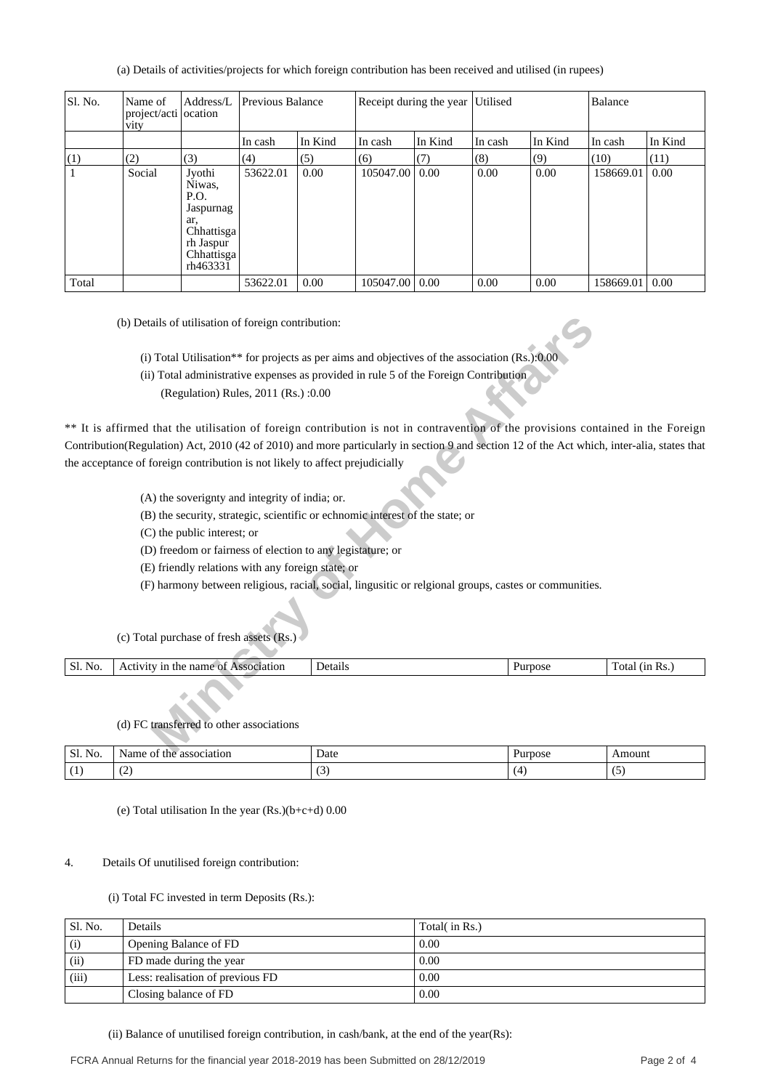(a) Details of activities/projects for which foreign contribution has been received and utilised (in rupees)

| Sl. No. | Name of<br>project/acti ocation<br>vity | Address/L                                                                                         | Previous Balance |         |                  | Receipt during the year Utilised |         |         | Balance   |         |
|---------|-----------------------------------------|---------------------------------------------------------------------------------------------------|------------------|---------|------------------|----------------------------------|---------|---------|-----------|---------|
|         |                                         |                                                                                                   | In cash          | In Kind | In cash          | In Kind                          | In cash | In Kind | In cash   | In Kind |
| (1)     | (2)                                     | (3)                                                                                               | (4)              | (5)     | (6)              | (7)                              | (8)     | (9)     | (10)      | (11)    |
|         | Social                                  | Jyothi<br>Niwas,<br>P.O.<br>Jaspurnag<br>ar.<br>Chhattisga<br>rh Jaspur<br>Chhattisga<br>rh463331 | 53622.01         | 0.00    | 105047.00        | 0.00                             | 0.00    | 0.00    | 158669.01 | 0.00    |
| Total   |                                         |                                                                                                   | 53622.01         | 0.00    | 105047.00   0.00 |                                  | 0.00    | 0.00    | 158669.01 | 0.00    |

(b) Details of utilisation of foreign contribution:

(i) Total Utilisation\*\* for projects as per aims and objectives of the association (Rs.):0.00

- (ii) Total administrative expenses as provided in rule 5 of the Foreign Contribution
	- (Regulation) Rules, 2011 (Rs.) :0.00

ails of utilisation of foreign contribution:<br>
Total Utilisation\*\* for projects as per aims and objectives of the association (Rs.):000<br>
Total administrative expenses as provided in rule 5 of the Foreign Contribution<br>
(Regu \*\* It is affirmed that the utilisation of foreign contribution is not in contravention of the provisions contained in the Foreign Contribution(Regulation) Act, 2010 (42 of 2010) and more particularly in section 9 and section 12 of the Act which, inter-alia, states that the acceptance of foreign contribution is not likely to affect prejudicially

- (A) the soverignty and integrity of india; or.
- (B) the security, strategic, scientific or echnomic interest of the state; or
- (C) the public interest; or
- (D) freedom or fairness of election to any legistature; or
- (E) friendly relations with any foreign state; or
- (F) harmony between religious, racial, social, lingusitic or relgional groups, castes or communities.

(c) Total purchase of fresh assets (Rs.)

| <sub>S1</sub><br>N <sub>O</sub> | :1at10n<br>A <sub>t</sub><br>name<br>- une<br>าก<br>. | Jeta<br>чань | . | $\mathbf{r}$<br>13،<br>`ota<br>- RS. |
|---------------------------------|-------------------------------------------------------|--------------|---|--------------------------------------|
|                                 |                                                       |              |   |                                      |

## (d) FC transferred to other associations

| $\sim$<br>$\sim$ $\sim$<br>$\mathcal{L}$<br>'NO. | - -<br>association<br>- OI<br>™ame<br>tne | Date | .<br>'urnose | Amount               |
|--------------------------------------------------|-------------------------------------------|------|--------------|----------------------|
| л                                                | $\sim$<br>ື                               |      |              | $\ddot{\phantom{0}}$ |

(e) Total utilisation In the year (Rs.)(b+c+d) 0.00

## 4. Details Of unutilised foreign contribution:

(i) Total FC invested in term Deposits (Rs.):

| Sl. No. | Details                          | Total( in Rs.) |
|---------|----------------------------------|----------------|
| (i)     | Opening Balance of FD            | 0.00           |
| (ii)    | FD made during the year          | 0.00           |
| (iii)   | Less: realisation of previous FD | 0.00           |
|         | Closing balance of FD            | 0.00           |

(ii) Balance of unutilised foreign contribution, in cash/bank, at the end of the year(Rs):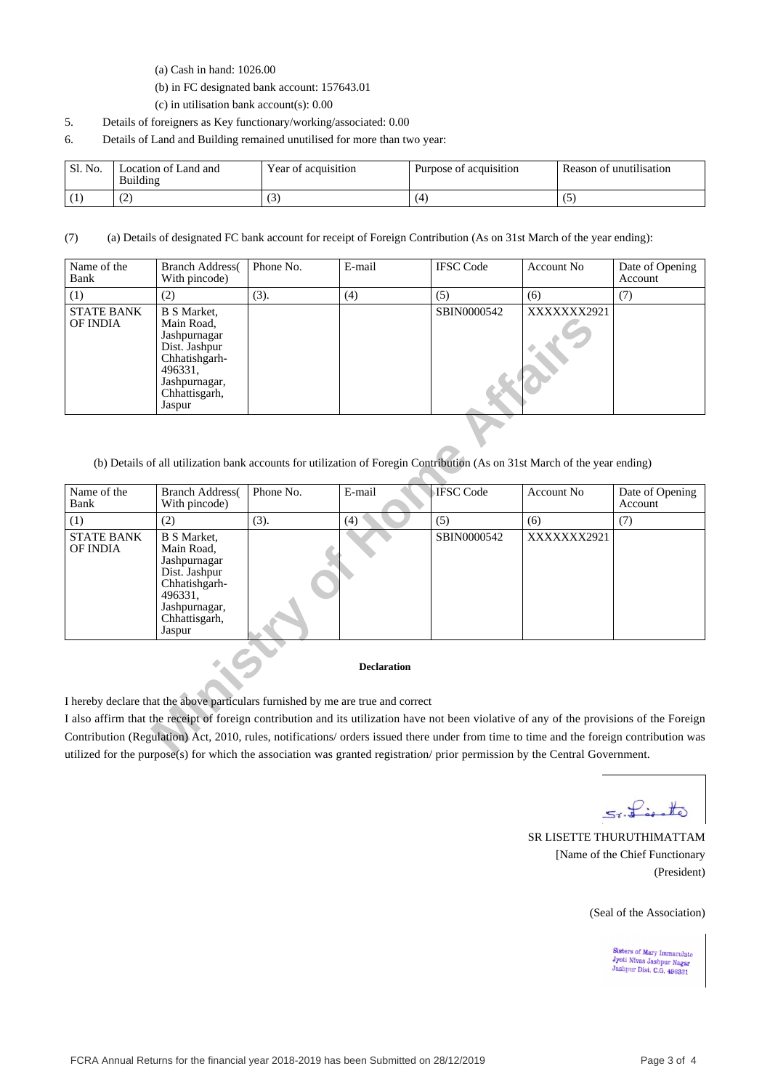(a) Cash in hand: 1026.00

(b) in FC designated bank account: 157643.01

(c) in utilisation bank account(s): 0.00

- 5. Details of foreigners as Key functionary/working/associated: 0.00
- 6. Details of Land and Building remained unutilised for more than two year:

| Sl. No. | Location of Land and   | T                   | $\cdot$ $\cdot$        | $\cdots$                |
|---------|------------------------|---------------------|------------------------|-------------------------|
|         | Building               | Year of acquisition | Purpose of acquisition | Reason of unutilisation |
|         | $\sim$<br>. <u>. .</u> | ູ                   | Z.                     |                         |

(7) (a) Details of designated FC bank account for receipt of Foreign Contribution (As on 31st March of the year ending):

| Name of the<br>Bank           | <b>Branch Address</b><br>With pincode)                                                                                                    | Phone No. | E-mail | <b>IFSC</b> Code | Account No  | Date of Opening<br>Account |
|-------------------------------|-------------------------------------------------------------------------------------------------------------------------------------------|-----------|--------|------------------|-------------|----------------------------|
| (1)                           | (2)                                                                                                                                       | (3).      | (4)    | (5)              | (6)         | (7)                        |
| <b>STATE BANK</b><br>OF INDIA | <b>B</b> S Market,<br>Main Road,<br>Jashpurnagar<br>Dist. Jashpur<br>Chhatishgarh-<br>496331,<br>Jashpurnagar,<br>Chhattisgarh,<br>Jaspur |           |        | SBIN0000542      | XXXXXXX2921 |                            |

(b) Details of all utilization bank accounts for utilization of Foregin Contribution (As on 31st March of the year ending)

| <b>OF INDIA</b>                      | Main Road,<br>Jashpurnagar<br>Dist. Jashpur<br>Chhatishgarh-<br>496331.<br>Jashpurnagar,<br>Chhattisgarh,<br>Jaspur                       |           |                                                                                                                            |                  |                   |                                                                                                                                            |
|--------------------------------------|-------------------------------------------------------------------------------------------------------------------------------------------|-----------|----------------------------------------------------------------------------------------------------------------------------|------------------|-------------------|--------------------------------------------------------------------------------------------------------------------------------------------|
|                                      |                                                                                                                                           |           | (b) Details of all utilization bank accounts for utilization of Foregin Contribution (As on 31st March of the year ending) |                  |                   |                                                                                                                                            |
| Name of the<br>Bank                  | <b>Branch Address</b><br>With pincode)                                                                                                    | Phone No. | E-mail                                                                                                                     | <b>IFSC</b> Code | <b>Account No</b> | Date of Opening<br>Account                                                                                                                 |
| (1)                                  | (2)                                                                                                                                       | (3).      | (4)                                                                                                                        | (5)              | (6)               | (7)                                                                                                                                        |
| <b>STATE BANK</b><br><b>OF INDIA</b> | <b>B</b> S Market,<br>Main Road,<br>Jashpurnagar<br>Dist. Jashpur<br>Chhatishgarh-<br>496331,<br>Jashpurnagar,<br>Chhattisgarh,<br>Jaspur |           |                                                                                                                            | SBIN0000542      | XXXXXXX2921       |                                                                                                                                            |
|                                      |                                                                                                                                           |           | <b>Declaration</b>                                                                                                         |                  |                   |                                                                                                                                            |
|                                      |                                                                                                                                           |           | I hereby declare that the above particulars furnished by me are true and correct                                           |                  |                   |                                                                                                                                            |
|                                      |                                                                                                                                           |           |                                                                                                                            |                  |                   | I also affirm that the receipt of foreign contribution and its utilization have not been violative of any of the provisions of the Foreign |
|                                      |                                                                                                                                           |           | utilized for the numeral story which the execution wes grapped registration enteries normisation by the Captual Covernment |                  |                   | Contribution (Regulation) Act, 2010, rules, notifications/ orders issued there under from time to time and the foreign contribution was    |

## **Declaration**

I also affirm that the receipt of foreign contribution and its utilization have not been violative of any of the provisions of the Foreign Contribution (Regulation) Act, 2010, rules, notifications/ orders issued there under from time to time and the foreign contribution was utilized for the purpose(s) for which the association was granted registration/ prior permission by the Central Government.

5x. Lesotte

SR LISETTE THURUTHIMATTAM [Name of the Chief Functionary (President)

(Seal of the Association)

Sisters of Mary Immaculate<br>Jyoti Nivas Jashpur Nagar<br>Jashpur Dist. C.G. 496331